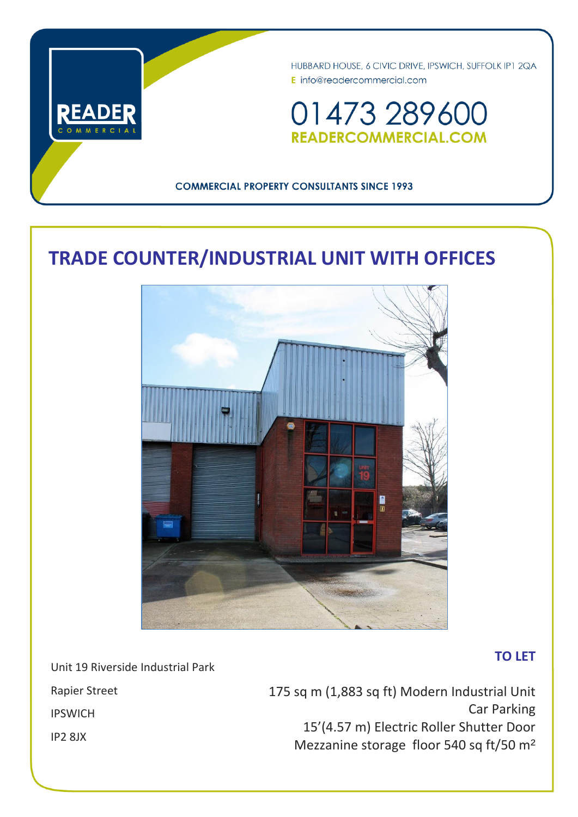

HUBBARD HOUSE, 6 CIVIC DRIVE, IPSWICH, SUFFOLK IP1 2QA E info@readercommercial.com

01473 289600 **READERCOMMERCIAL.COM** 

# **COMMERCIAL PROPERTY CONSULTANTS SINCE 1993**

# **TRADE COUNTER/INDUSTRIAL UNIT WITH OFFICES**



# **TO LET**

Unit 19 Riverside Industrial Park

Rapier Street IPSWICH IP2 8JX

175 sq m (1,883 sq ft) Modern Industrial Unit Car Parking 15'(4.57 m) Electric Roller Shutter Door Mezzanine storage floor 540 sq ft/50 m²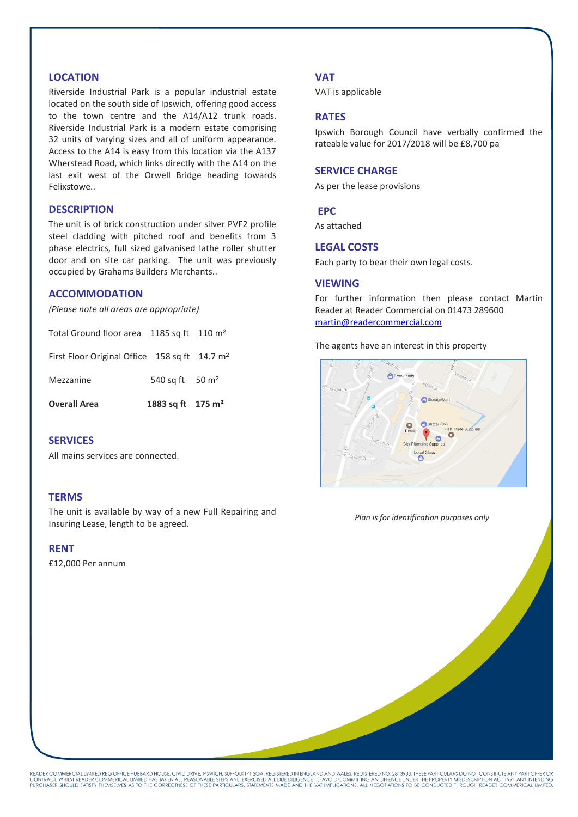# **LOCATION**

Riverside Industrial Park is a popular industrial estate located on the south side of Ipswich, offering good access to the town centre and the A14/A12 trunk roads. Riverside Industrial Park is a modern estate comprising 32 units of varying sizes and all of uniform appearance. Access to the A14 is easy from this location via the A137 Wherstead Road, which links directly with the A14 on the last exit west of the Orwell Bridge heading towards Felixstowe..

## **DESCRIPTION**

The unit is of brick construction under silver PVF2 profile steel cladding with pitched roof and benefits from 3 phase electrics, full sized galvanised lathe roller shutter door and on site car parking. The unit was previously occupied by Grahams Builders Merchants..

# **ACCOMMODATION**

*(Please note all areas are appropriate)*

| <b>Overall Area</b>                                       | 1883 sq ft 175 m <sup>2</sup> |  |
|-----------------------------------------------------------|-------------------------------|--|
| Mezzanine                                                 | 540 sq ft 50 m <sup>2</sup>   |  |
| First Floor Original Office 158 sq ft 14.7 m <sup>2</sup> |                               |  |
| Total Ground floor area 1185 sq ft 110 m <sup>2</sup>     |                               |  |

# **SERVICES**

All mains services are connected.

#### **TERMS**

The unit is available by way of a new Full Repairing and Insuring Lease, length to be agreed.

#### **RENT**

£12,000 Per annum

#### **VAT**

VAT is applicable

## **RATES**

Ipswich Borough Council have verbally confirmed the rateable value for 2017/2018 will be £8,700 pa

#### **SERVICE CHARGE**

As per the lease provisions

# **EPC**

As attached

#### **LEGAL COSTS**

Each party to bear their own legal costs.

#### **VIEWING**

For further information then please contact Martin Reader at Reader Commercial on 01473 289600 [martin@readercommercial.com](mailto:martin@readercommercial.com)

The agents have an interest in this property



*Plan is for identification purposes only*

READER COMMERCIAL LIMITED REG OFFICE HUBBARD HOUSE, CIVIC DRIVE, IPSWICH, SUFFOLK IP 1 2QA. REGISTERED IN ENGLAND AND WALES. REGISTERED NO: 2813933. THESE PARTICULARS DO NOT CONSTITUTE ANY PART OFFER OR<br>CONTRACT. WHILST RE